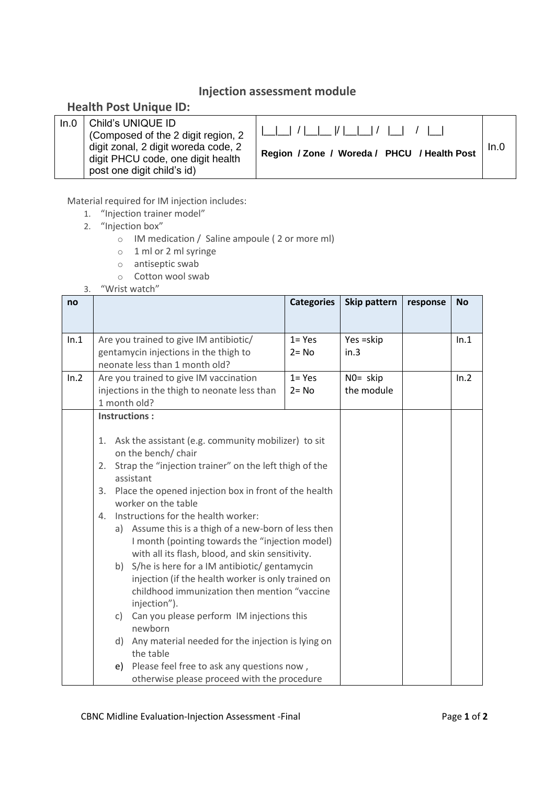## **Injection assessment module**

## **Health Post Unique ID:**

| In.0 | Child's UNIQUE ID<br>(Composed of the 2 digit region, 2<br>digit zonal, 2 digit woreda code, 2 | Region / Zone / Woreda / PHCU / Health Post |  |
|------|------------------------------------------------------------------------------------------------|---------------------------------------------|--|
|      | digit PHCU code, one digit health<br>post one digit child's id)                                |                                             |  |

Material required for IM injection includes:

- 1. "Injection trainer model"
- 2. "Injection box"
	- o IM medication / Saline ampoule ( 2 or more ml)
	- o 1 ml or 2 ml syringe
	- o antiseptic swab
	- o Cotton wool swab
- 3. "Wrist watch"

| no   |                                                                                                    |                                                      | <b>Categories</b> | Skip pattern | response | <b>No</b> |
|------|----------------------------------------------------------------------------------------------------|------------------------------------------------------|-------------------|--------------|----------|-----------|
|      |                                                                                                    |                                                      |                   |              |          |           |
| ln.1 |                                                                                                    | Are you trained to give IM antibiotic/               | $1 = Yes$         | Yes = skip   |          | In.1      |
|      |                                                                                                    | gentamycin injections in the thigh to                | $2 = No$          | in.3         |          |           |
|      |                                                                                                    | neonate less than 1 month old?                       |                   |              |          |           |
| In.2 |                                                                                                    | Are you trained to give IM vaccination               | $1 = Yes$         | NO= skip     |          | In.2      |
|      | injections in the thigh to neonate less than                                                       |                                                      | $2 = No$          | the module   |          |           |
|      | 1 month old?                                                                                       |                                                      |                   |              |          |           |
|      | <b>Instructions:</b>                                                                               |                                                      |                   |              |          |           |
|      |                                                                                                    |                                                      |                   |              |          |           |
|      | 1. Ask the assistant (e.g. community mobilizer) to sit<br>on the bench/chair                       |                                                      |                   |              |          |           |
|      | Strap the "injection trainer" on the left thigh of the<br>2.                                       |                                                      |                   |              |          |           |
|      | assistant                                                                                          |                                                      |                   |              |          |           |
|      | Place the opened injection box in front of the health<br>3.                                        |                                                      |                   |              |          |           |
|      | worker on the table                                                                                |                                                      |                   |              |          |           |
|      | Instructions for the health worker:<br>4.                                                          |                                                      |                   |              |          |           |
|      |                                                                                                    | a) Assume this is a thigh of a new-born of less then |                   |              |          |           |
|      | I month (pointing towards the "injection model)                                                    |                                                      |                   |              |          |           |
|      | with all its flash, blood, and skin sensitivity.                                                   |                                                      |                   |              |          |           |
|      | b) S/he is here for a IM antibiotic/ gentamycin                                                    |                                                      |                   |              |          |           |
|      | injection (if the health worker is only trained on<br>childhood immunization then mention "vaccine |                                                      |                   |              |          |           |
|      | injection").                                                                                       |                                                      |                   |              |          |           |
|      | Can you please perform IM injections this<br>C)                                                    |                                                      |                   |              |          |           |
|      | newhorn                                                                                            |                                                      |                   |              |          |           |
|      | d)                                                                                                 | Any material needed for the injection is lying on    |                   |              |          |           |
|      | the table                                                                                          |                                                      |                   |              |          |           |
|      | Please feel free to ask any questions now,<br>e)                                                   |                                                      |                   |              |          |           |
|      | otherwise please proceed with the procedure                                                        |                                                      |                   |              |          |           |